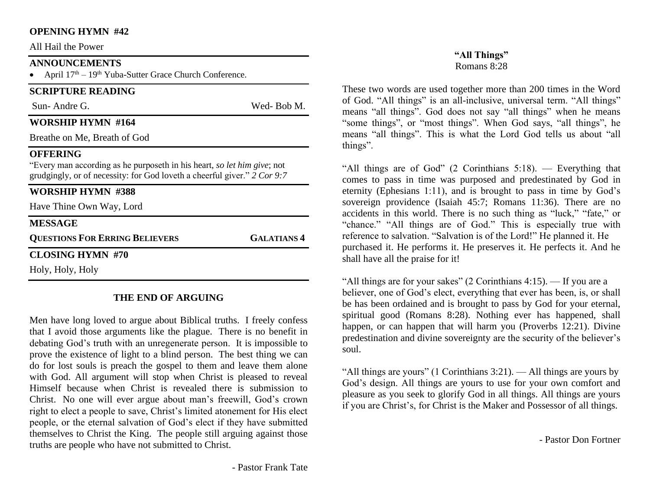#### **OPENING HYMN #42**

All Hail the Power

## **ANNOUNCEMENTS**

April  $17<sup>th</sup> - 19<sup>th</sup>$  Yuba-Sutter Grace Church Conference.

# **SCRIPTURE READING**

Sun- Andre G. Wed- Bob M.

## **WORSHIP HYMN #164**

Breathe on Me, Breath of God

#### **OFFERING**

"Every man according as he purposeth in his heart, *so let him give*; not grudgingly, or of necessity: for God loveth a cheerful giver." *2 Cor 9:7*

# **WORSHIP HYMN #388**

Have Thine Own Way, Lord

#### **MESSAGE**

**QUESTIONS FOR ERRING BELIEVERS GALATIANS 4**

**CLOSING HYMN #70**

Holy, Holy, Holy

# **THE END OF ARGUING**

Men have long loved to argue about Biblical truths. I freely confess that I avoid those arguments like the plague. There is no benefit in debating God's truth with an unregenerate person. It is impossible to prove the existence of light to a blind person. The best thing we can do for lost souls is preach the gospel to them and leave them alone with God. All argument will stop when Christ is pleased to reveal Himself because when Christ is revealed there is submission to Christ. No one will ever argue about man's freewill, God's crown right to elect a people to save, Christ's limited atonement for His elect people, or the eternal salvation of God's elect if they have submitted themselves to Christ the King. The people still arguing against those truths are people who have not submitted to Christ.

These two words are used together more than 200 times in the Word of God. "All things" is an all-inclusive, universal term. "All things" means "all things". God does not say "all things" when he means "some things", or "most things". When God says, "all things", he means "all things". This is what the Lord God tells us about "all things".

"All things are of God" (2 Corinthians 5:18). — Everything that comes to pass in time was purposed and predestinated by God in eternity (Ephesians 1:11), and is brought to pass in time by God's sovereign providence (Isaiah 45:7; Romans 11:36). There are no accidents in this world. There is no such thing as "luck," "fate," or "chance." "All things are of God." This is especially true with reference to salvation. "Salvation is of the Lord!" He planned it. He purchased it. He performs it. He preserves it. He perfects it. And he shall have all the praise for it!

"All things are for your sakes" (2 Corinthians 4:15). — If you are a believer, one of God's elect, everything that ever has been, is, or shall be has been ordained and is brought to pass by God for your eternal, spiritual good (Romans 8:28). Nothing ever has happened, shall happen, or can happen that will harm you (Proverbs 12:21). Divine predestination and divine sovereignty are the security of the believer's soul.

"All things are yours" (1 Corinthians 3:21). — All things are yours by God's design. All things are yours to use for your own comfort and pleasure as you seek to glorify God in all things. All things are yours if you are Christ's, for Christ is the Maker and Possessor of all things.

- Pastor Don Fortner